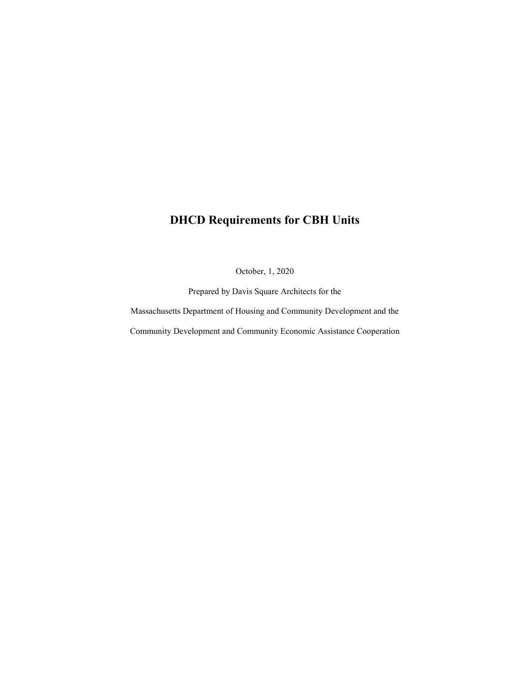# **DHCD Requirements for CBH Units**

October, 1, 2020

Prepared by Davis Square Architects for the

Massachusetts Department of Housing and Community Development and the

Community Development and Community Economic Assistance Cooperation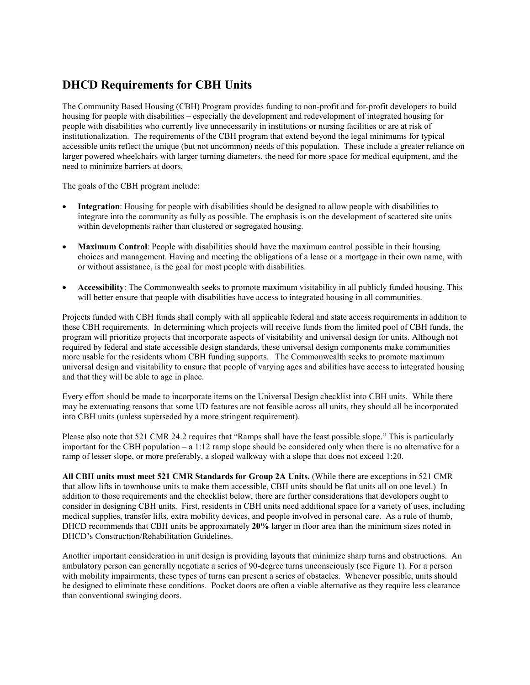# **DHCD Requirements for CBH Units**

The Community Based Housing (CBH) Program provides funding to non-profit and for-profit developers to build housing for people with disabilities – especially the development and redevelopment of integrated housing for people with disabilities who currently live unnecessarily in institutions or nursing facilities or are at risk of institutionalization. The requirements of the CBH program that extend beyond the legal minimums for typical accessible units reflect the unique (but not uncommon) needs of this population. These include a greater reliance on larger powered wheelchairs with larger turning diameters, the need for more space for medical equipment, and the need to minimize barriers at doors.

The goals of the CBH program include:

- **Integration**: Housing for people with disabilities should be designed to allow people with disabilities to integrate into the community as fully as possible. The emphasis is on the development of scattered site units within developments rather than clustered or segregated housing.
- Maximum Control: People with disabilities should have the maximum control possible in their housing choices and management. Having and meeting the obligations of a lease or a mortgage in their own name, with or without assistance, is the goal for most people with disabilities.
- **Accessibility**: The Commonwealth seeks to promote maximum visitability in all publicly funded housing. This will better ensure that people with disabilities have access to integrated housing in all communities.

Projects funded with CBH funds shall comply with all applicable federal and state access requirements in addition to these CBH requirements. In determining which projects will receive funds from the limited pool of CBH funds, the program will prioritize projects that incorporate aspects of visitability and universal design for units. Although not required by federal and state accessible design standards, these universal design components make communities more usable for the residents whom CBH funding supports. The Commonwealth seeks to promote maximum universal design and visitability to ensure that people of varying ages and abilities have access to integrated housing and that they will be able to age in place.

Every effort should be made to incorporate items on the Universal Design checklist into CBH units. While there may be extenuating reasons that some UD features are not feasible across all units, they should all be incorporated into CBH units (unless superseded by a more stringent requirement).

Please also note that 521 CMR 24.2 requires that "Ramps shall have the least possible slope." This is particularly important for the CBH population – a 1:12 ramp slope should be considered only when there is no alternative for a ramp of lesser slope, or more preferably, a sloped walkway with a slope that does not exceed 1:20.

**All CBH units must meet 521 CMR Standards for Group 2A Units.** (While there are exceptions in 521 CMR that allow lifts in townhouse units to make them accessible, CBH units should be flat units all on one level.) In addition to those requirements and the checklist below, there are further considerations that developers ought to consider in designing CBH units. First, residents in CBH units need additional space for a variety of uses, including medical supplies, transfer lifts, extra mobility devices, and people involved in personal care. As a rule of thumb, DHCD recommends that CBH units be approximately **20%** larger in floor area than the minimum sizes noted in DHCD's Construction/Rehabilitation Guidelines.

Another important consideration in unit design is providing layouts that minimize sharp turns and obstructions. An ambulatory person can generally negotiate a series of 90-degree turns unconsciously (see Figure 1). For a person with mobility impairments, these types of turns can present a series of obstacles. Whenever possible, units should be designed to eliminate these conditions. Pocket doors are often a viable alternative as they require less clearance than conventional swinging doors.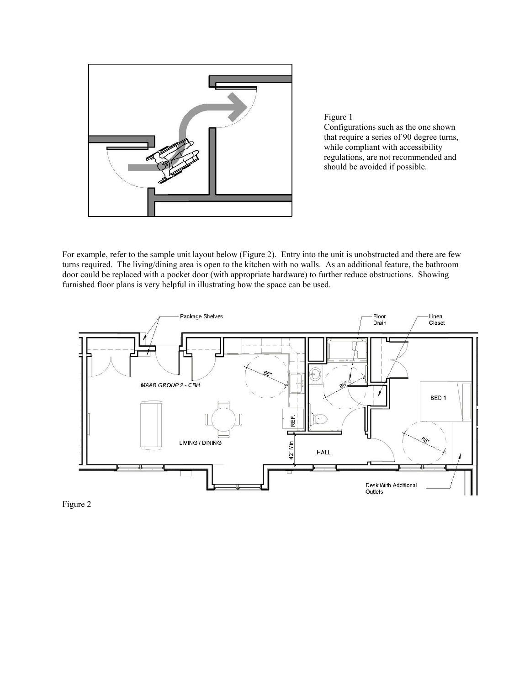

Figure 1

Configurations such as the one shown that require a series of 90 degree turns, while compliant with accessibility regulations, are not recommended and should be avoided if possible.

For example, refer to the sample unit layout below (Figure 2). Entry into the unit is unobstructed and there are few turns required. The living/dining area is open to the kitchen with no walls. As an additional feature, the bathroom door could be replaced with a pocket door (with appropriate hardware) to further reduce obstructions. Showing furnished floor plans is very helpful in illustrating how the space can be used.



Figure 2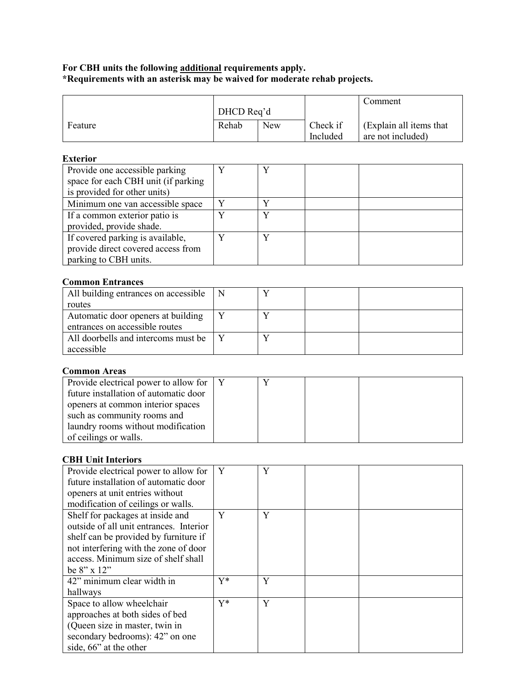#### **For CBH units the following additional requirements apply. \*Requirements with an asterisk may be waived for moderate rehab projects.**

|         |                     |  |          | Comment                  |
|---------|---------------------|--|----------|--------------------------|
|         | DHCD Req'd          |  |          |                          |
| Feature | Rehab<br><b>New</b> |  | Check if | (Explain all items that) |
|         |                     |  | Included | are not included)        |

### **Exterior**

| Provide one accessible parking      | v |  |
|-------------------------------------|---|--|
| space for each CBH unit (if parking |   |  |
| is provided for other units)        |   |  |
| Minimum one van accessible space    |   |  |
| If a common exterior patio is       |   |  |
| provided, provide shade.            |   |  |
| If covered parking is available,    | v |  |
| provide direct covered access from  |   |  |
| parking to CBH units.               |   |  |

## **Common Entrances**

| All building entrances on accessible |  |  |
|--------------------------------------|--|--|
| routes                               |  |  |
| Automatic door openers at building   |  |  |
| entrances on accessible routes       |  |  |
| All doorbells and intercoms must be  |  |  |
| accessible                           |  |  |

#### **Common Areas**

| Provide electrical power to allow for |  |  |
|---------------------------------------|--|--|
| future installation of automatic door |  |  |
| openers at common interior spaces     |  |  |
| such as community rooms and           |  |  |
| laundry rooms without modification    |  |  |
| of ceilings or walls.                 |  |  |

### **CBH Unit Interiors**

| Provide electrical power to allow for   | Y     | Y |  |
|-----------------------------------------|-------|---|--|
| future installation of automatic door   |       |   |  |
| openers at unit entries without         |       |   |  |
| modification of ceilings or walls.      |       |   |  |
| Shelf for packages at inside and        | Y     | Y |  |
| outside of all unit entrances. Interior |       |   |  |
| shelf can be provided by furniture if   |       |   |  |
| not interfering with the zone of door   |       |   |  |
| access. Minimum size of shelf shall     |       |   |  |
| be $8" \times 12"$                      |       |   |  |
| 42" minimum clear width in              | $Y^*$ | Y |  |
| hallways                                |       |   |  |
| Space to allow wheelchair               | $Y^*$ | Y |  |
| approaches at both sides of bed         |       |   |  |
| (Queen size in master, twin in          |       |   |  |
| secondary bedrooms): 42" on one         |       |   |  |
| side, 66" at the other                  |       |   |  |